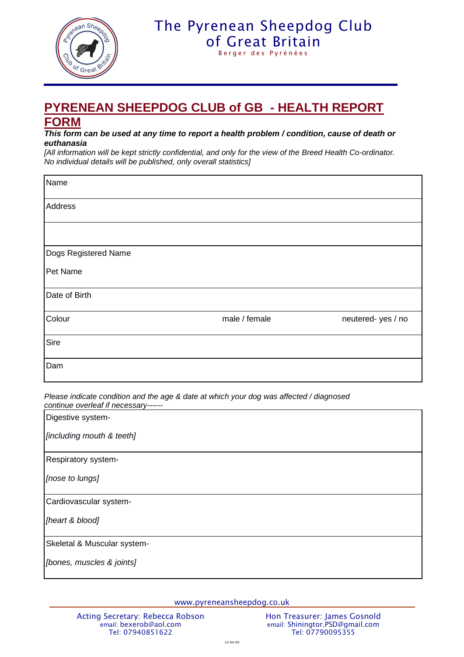

## The Pyrenean Sheepdog Club [of Great Britain](http://www.pyreneansheepdog.co.uk/index.htm)

Berger des Pyrénées

## **PYRENEAN SHEEPDOG CLUB of GB - HEALTH REPORT FORM**

## *This form can be used at any time to report a health problem / condition, cause of death or euthanasia*

*[All information will be kept strictly confidential, and only for the view of the Breed Health Co-ordinator. No individual details will be published, only overall statistics]*

| Name                 |               |                   |
|----------------------|---------------|-------------------|
| Address              |               |                   |
|                      |               |                   |
| Dogs Registered Name |               |                   |
| Pet Name             |               |                   |
| Date of Birth        |               |                   |
| Colour               | male / female | neutered-yes / no |
| Sire                 |               |                   |
| Dam                  |               |                   |

*Please indicate condition and the age & date at which your dog was affected / diagnosed continue overleaf if necessary------*

| Digestive system-           |
|-----------------------------|
| [including mouth & teeth]   |
| Respiratory system-         |
| [nose to lungs]             |
| Cardiovascular system-      |
| [heart & blood]             |
| Skeletal & Muscular system- |
| [bones, muscles & joints]   |

www.pyreneansheepdog.co.uk